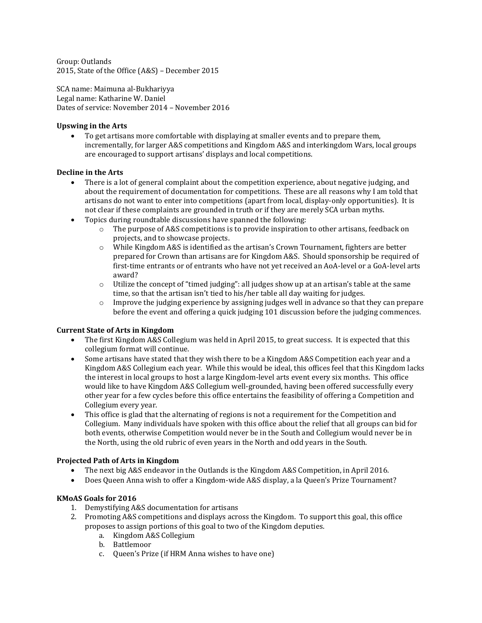Group: Outlands 2015, State of the Office (A&S) – December 2015

SCA name: Maimuna al-Bukhariyya Legal name: Katharine W. Daniel Dates of service: November 2014 – November 2016

#### **Upswing in the Arts**

 To get artisans more comfortable with displaying at smaller events and to prepare them, incrementally, for larger A&S competitions and Kingdom A&S and interkingdom Wars, local groups are encouraged to support artisans' displays and local competitions.

#### **Decline in the Arts**

- There is a lot of general complaint about the competition experience, about negative judging, and about the requirement of documentation for competitions. These are all reasons why I am told that artisans do not want to enter into competitions (apart from local, display-only opportunities). It is not clear if these complaints are grounded in truth or if they are merely SCA urban myths.
- Topics during roundtable discussions have spanned the following:
	- o The purpose of A&S competitions is to provide inspiration to other artisans, feedback on projects, and to showcase projects.
	- o While Kingdom A&S is identified as the artisan's Crown Tournament, fighters are better prepared for Crown than artisans are for Kingdom A&S. Should sponsorship be required of first-time entrants or of entrants who have not yet received an AoA-level or a GoA-level arts award?
	- $\circ$  Utilize the concept of "timed judging": all judges show up at an artisan's table at the same time, so that the artisan isn't tied to his/her table all day waiting for judges.
	- o Improve the judging experience by assigning judges well in advance so that they can prepare before the event and offering a quick judging 101 discussion before the judging commences.

#### **Current State of Arts in Kingdom**

- The first Kingdom A&S Collegium was held in April 2015, to great success. It is expected that this collegium format will continue.
- Some artisans have stated that they wish there to be a Kingdom A&S Competition each year and a Kingdom A&S Collegium each year. While this would be ideal, this offices feel that this Kingdom lacks the interest in local groups to host a large Kingdom-level arts event every six months. This office would like to have Kingdom A&S Collegium well-grounded, having been offered successfully every other year for a few cycles before this office entertains the feasibility of offering a Competition and Collegium every year.
- This office is glad that the alternating of regions is not a requirement for the Competition and Collegium. Many individuals have spoken with this office about the relief that all groups can bid for both events, otherwise Competition would never be in the South and Collegium would never be in the North, using the old rubric of even years in the North and odd years in the South.

### **Projected Path of Arts in Kingdom**

- The next big A&S endeavor in the Outlands is the Kingdom A&S Competition, in April 2016.
- Does Queen Anna wish to offer a Kingdom-wide A&S display, a la Queen's Prize Tournament?

### **KMoAS Goals for 2016**

- 1. Demystifying A&S documentation for artisans
- 2. Promoting A&S competitions and displays across the Kingdom. To support this goal, this office proposes to assign portions of this goal to two of the Kingdom deputies.
	- a. Kingdom A&S Collegium
	- b. Battlemoor
	- c. Queen's Prize (if HRM Anna wishes to have one)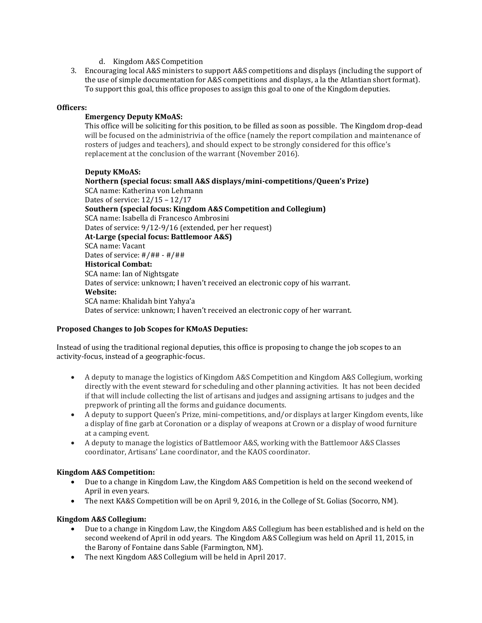- d. Kingdom A&S Competition
- 3. Encouraging local A&S ministers to support A&S competitions and displays (including the support of the use of simple documentation for A&S competitions and displays, a la the Atlantian short format). To support this goal, this office proposes to assign this goal to one of the Kingdom deputies.

### **Officers:**

# **Emergency Deputy KMoAS:**

This office will be soliciting for this position, to be filled as soon as possible. The Kingdom drop-dead will be focused on the administrivia of the office (namely the report compilation and maintenance of rosters of judges and teachers), and should expect to be strongly considered for this office's replacement at the conclusion of the warrant (November 2016).

### **Deputy KMoAS:**

**Northern (special focus: small A&S displays/mini-competitions/Queen's Prize)** SCA name: Katherina von Lehmann Dates of service: 12/15 – 12/17 **Southern (special focus: Kingdom A&S Competition and Collegium)** SCA name: Isabella di Francesco Ambrosini Dates of service: 9/12-9/16 (extended, per her request) **At-Large (special focus: Battlemoor A&S)** SCA name: Vacant Dates of service: #/## - #/## **Historical Combat:** SCA name: Ian of Nightsgate Dates of service: unknown; I haven't received an electronic copy of his warrant. **Website:** SCA name: Khalidah bint Yahya'a Dates of service: unknown; I haven't received an electronic copy of her warrant.

# **Proposed Changes to Job Scopes for KMoAS Deputies:**

Instead of using the traditional regional deputies, this office is proposing to change the job scopes to an activity-focus, instead of a geographic-focus.

- A deputy to manage the logistics of Kingdom A&S Competition and Kingdom A&S Collegium, working directly with the event steward for scheduling and other planning activities. It has not been decided if that will include collecting the list of artisans and judges and assigning artisans to judges and the prepwork of printing all the forms and guidance documents.
- A deputy to support Queen's Prize, mini-competitions, and/or displays at larger Kingdom events, like a display of fine garb at Coronation or a display of weapons at Crown or a display of wood furniture at a camping event.
- A deputy to manage the logistics of Battlemoor A&S, working with the Battlemoor A&S Classes coordinator, Artisans' Lane coordinator, and the KAOS coordinator.

# **Kingdom A&S Competition:**

- Due to a change in Kingdom Law, the Kingdom A&S Competition is held on the second weekend of April in even years.
- The next KA&S Competition will be on April 9, 2016, in the College of St. Golias (Socorro, NM).

### **Kingdom A&S Collegium:**

- Due to a change in Kingdom Law, the Kingdom A&S Collegium has been established and is held on the second weekend of April in odd years. The Kingdom A&S Collegium was held on April 11, 2015, in the Barony of Fontaine dans Sable (Farmington, NM).
- The next Kingdom A&S Collegium will be held in April 2017.